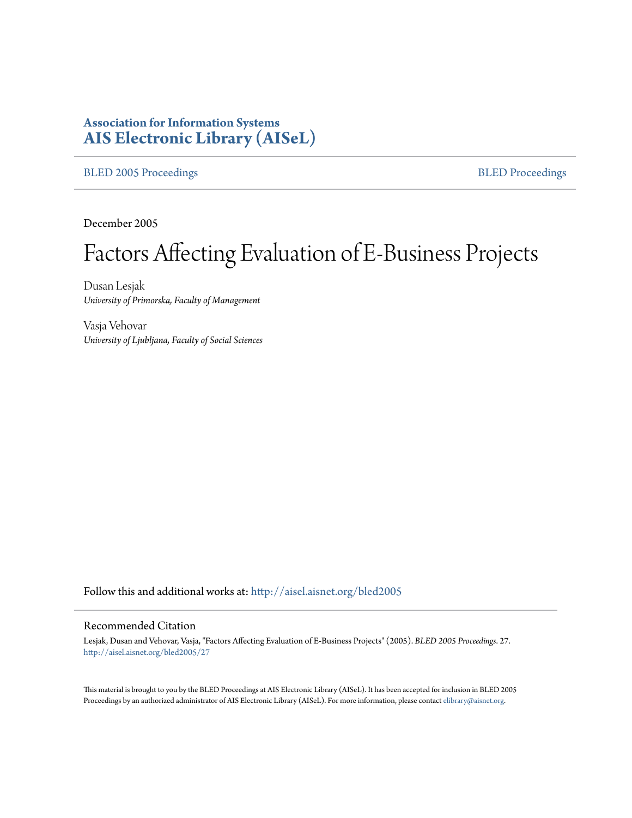# **Association for Information Systems [AIS Electronic Library \(AISeL\)](http://aisel.aisnet.org?utm_source=aisel.aisnet.org%2Fbled2005%2F27&utm_medium=PDF&utm_campaign=PDFCoverPages)**

[BLED 2005 Proceedings](http://aisel.aisnet.org/bled2005?utm_source=aisel.aisnet.org%2Fbled2005%2F27&utm_medium=PDF&utm_campaign=PDFCoverPages) **[BLED Proceedings](http://aisel.aisnet.org/bled?utm_source=aisel.aisnet.org%2Fbled2005%2F27&utm_medium=PDF&utm_campaign=PDFCoverPages)** 

December 2005

# Factors Affecting Evaluation of E-Business Projects

Dusan Lesjak *University of Primorska, Faculty of Management*

Vasja Vehovar *University of Ljubljana, Faculty of Social Sciences*

Follow this and additional works at: [http://aisel.aisnet.org/bled2005](http://aisel.aisnet.org/bled2005?utm_source=aisel.aisnet.org%2Fbled2005%2F27&utm_medium=PDF&utm_campaign=PDFCoverPages)

#### Recommended Citation

Lesjak, Dusan and Vehovar, Vasja, "Factors Affecting Evaluation of E-Business Projects" (2005). *BLED 2005 Proceedings*. 27. [http://aisel.aisnet.org/bled2005/27](http://aisel.aisnet.org/bled2005/27?utm_source=aisel.aisnet.org%2Fbled2005%2F27&utm_medium=PDF&utm_campaign=PDFCoverPages)

This material is brought to you by the BLED Proceedings at AIS Electronic Library (AISeL). It has been accepted for inclusion in BLED 2005 Proceedings by an authorized administrator of AIS Electronic Library (AISeL). For more information, please contact [elibrary@aisnet.org](mailto:elibrary@aisnet.org%3E).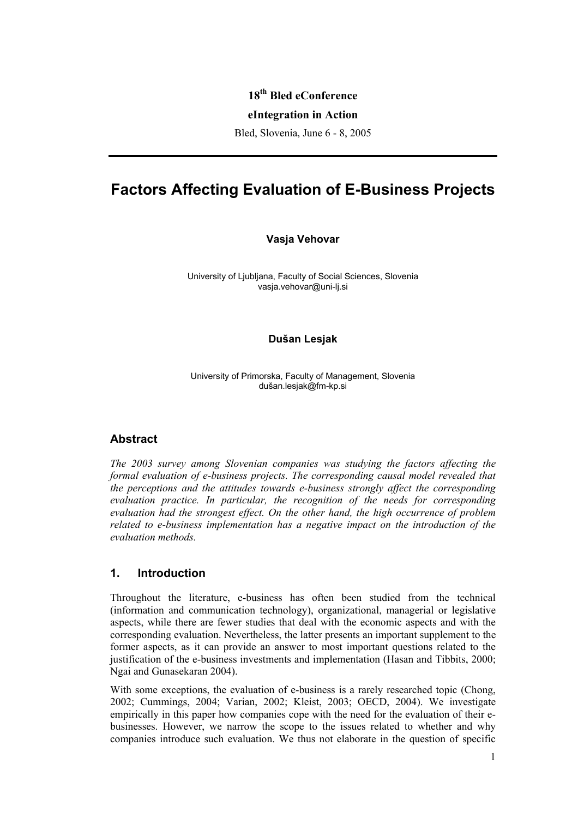# **18th Bled eConference**

#### **eIntegration in Action**

Bled, Slovenia, June 6 - 8, 2005

# **Factors Affecting Evaluation of E-Business Projects**

**Vasja Vehovar** 

University of Ljubljana, Faculty of Social Sciences, Slovenia vasja.vehovar@uni-lj.si

#### **Dušan Lesjak**

University of Primorska, Faculty of Management, Slovenia dušan.lesjak@fm-kp.si

# **Abstract**

*The 2003 survey among Slovenian companies was studying the factors affecting the formal evaluation of e-business projects. The corresponding causal model revealed that the perceptions and the attitudes towards e-business strongly affect the corresponding evaluation practice. In particular, the recognition of the needs for corresponding evaluation had the strongest effect. On the other hand, the high occurrence of problem related to e-business implementation has a negative impact on the introduction of the evaluation methods.* 

# **1. Introduction**

Throughout the literature, e-business has often been studied from the technical (information and communication technology), organizational, managerial or legislative aspects, while there are fewer studies that deal with the economic aspects and with the corresponding evaluation. Nevertheless, the latter presents an important supplement to the former aspects, as it can provide an answer to most important questions related to the justification of the e-business investments and implementation (Hasan and Tibbits, 2000; Ngai and Gunasekaran 2004).

With some exceptions, the evaluation of e-business is a rarely researched topic (Chong, 2002; Cummings, 2004; Varian, 2002; Kleist, 2003; OECD, 2004). We investigate empirically in this paper how companies cope with the need for the evaluation of their ebusinesses. However, we narrow the scope to the issues related to whether and why companies introduce such evaluation. We thus not elaborate in the question of specific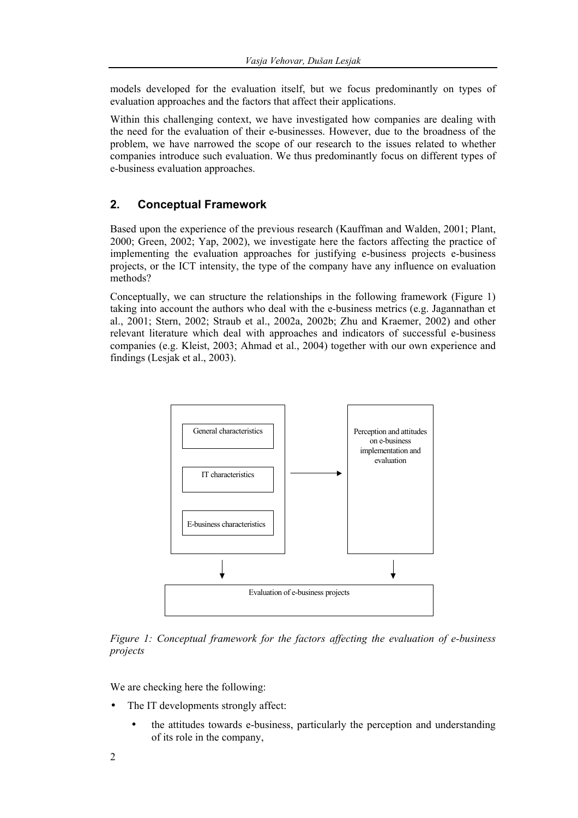models developed for the evaluation itself, but we focus predominantly on types of evaluation approaches and the factors that affect their applications.

Within this challenging context, we have investigated how companies are dealing with the need for the evaluation of their e-businesses. However, due to the broadness of the problem, we have narrowed the scope of our research to the issues related to whether companies introduce such evaluation. We thus predominantly focus on different types of e-business evaluation approaches.

# **2. Conceptual Framework**

Based upon the experience of the previous research (Kauffman and Walden, 2001; Plant, 2000; Green, 2002; Yap, 2002), we investigate here the factors affecting the practice of implementing the evaluation approaches for justifying e-business projects e-business projects, or the ICT intensity, the type of the company have any influence on evaluation methods?

Conceptually, we can structure the relationships in the following framework (Figure 1) taking into account the authors who deal with the e-business metrics (e.g. Jagannathan et al., 2001; Stern, 2002; Straub et al., 2002a, 2002b; Zhu and Kraemer, 2002) and other relevant literature which deal with approaches and indicators of successful e-business companies (e.g. Kleist, 2003; Ahmad et al., 2004) together with our own experience and findings (Lesjak et al., 2003).



*Figure 1: Conceptual framework for the factors affecting the evaluation of e-business projects* 

We are checking here the following:

- The IT developments strongly affect:
	- the attitudes towards e-business, particularly the perception and understanding of its role in the company,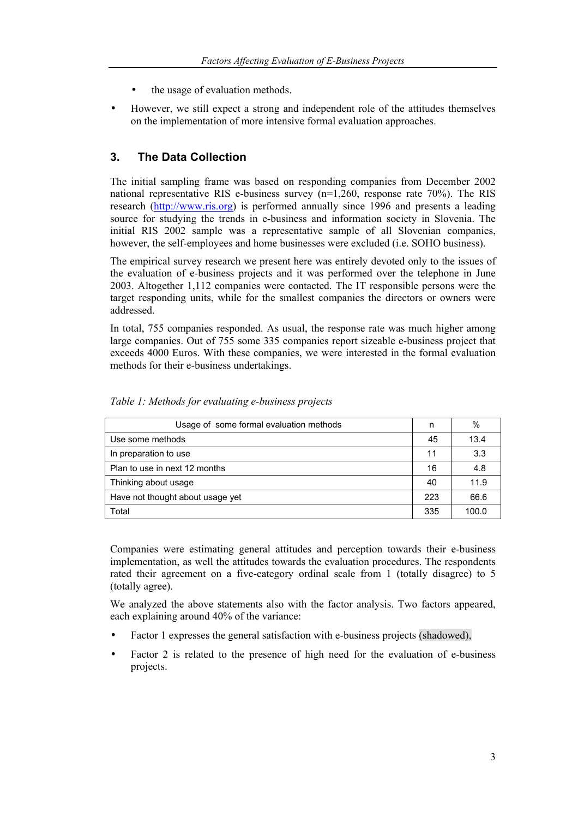- the usage of evaluation methods.
- However, we still expect a strong and independent role of the attitudes themselves on the implementation of more intensive formal evaluation approaches.

#### **3. The Data Collection**

The initial sampling frame was based on responding companies from December 2002 national representative RIS e-business survey (n=1,260, response rate 70%). The RIS research (http://www.ris.org) is performed annually since 1996 and presents a leading source for studying the trends in e-business and information society in Slovenia. The initial RIS 2002 sample was a representative sample of all Slovenian companies, however, the self-employees and home businesses were excluded (i.e. SOHO business).

The empirical survey research we present here was entirely devoted only to the issues of the evaluation of e-business projects and it was performed over the telephone in June 2003. Altogether 1,112 companies were contacted. The IT responsible persons were the target responding units, while for the smallest companies the directors or owners were addressed.

In total, 755 companies responded. As usual, the response rate was much higher among large companies. Out of 755 some 335 companies report sizeable e-business project that exceeds 4000 Euros. With these companies, we were interested in the formal evaluation methods for their e-business undertakings.

| Usage of some formal evaluation methods | n   | $\%$  |
|-----------------------------------------|-----|-------|
| Use some methods                        | 45  | 13.4  |
| In preparation to use                   | 11  | 3.3   |
| Plan to use in next 12 months           | 16  | 4.8   |
| Thinking about usage                    | 40  | 11.9  |
| Have not thought about usage yet        | 223 | 66.6  |
| Total                                   | 335 | 100.0 |

*Table 1: Methods for evaluating e-business projects* 

Companies were estimating general attitudes and perception towards their e-business implementation, as well the attitudes towards the evaluation procedures. The respondents rated their agreement on a five-category ordinal scale from 1 (totally disagree) to 5 (totally agree).

We analyzed the above statements also with the factor analysis. Two factors appeared, each explaining around 40% of the variance:

- Factor 1 expresses the general satisfaction with e-business projects (shadowed),
- Factor 2 is related to the presence of high need for the evaluation of e-business projects.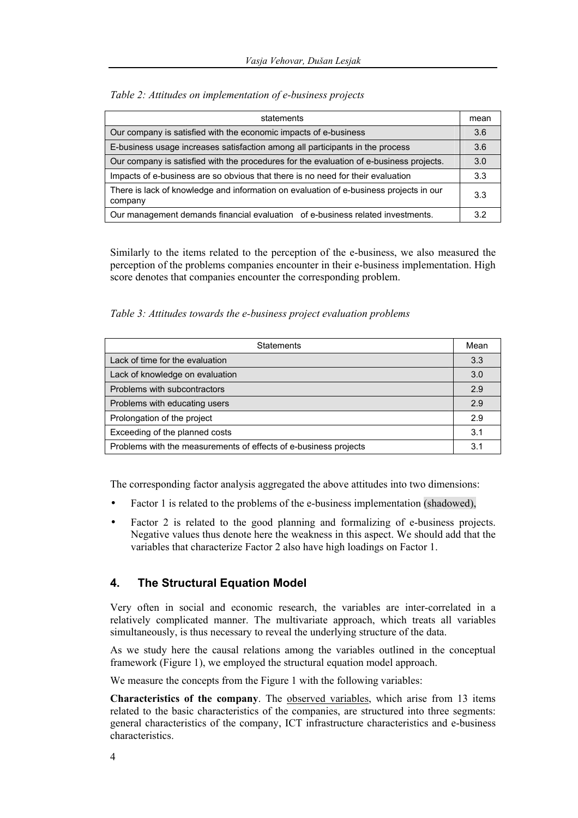*Table 2: Attitudes on implementation of e-business projects* 

| statements                                                                                        | mean |
|---------------------------------------------------------------------------------------------------|------|
| Our company is satisfied with the economic impacts of e-business                                  | 3.6  |
| E-business usage increases satisfaction among all participants in the process                     | 3.6  |
| Our company is satisfied with the procedures for the evaluation of e-business projects.           | 3.0  |
| Impacts of e-business are so obvious that there is no need for their evaluation                   | 3.3  |
| There is lack of knowledge and information on evaluation of e-business projects in our<br>company |      |
| Our management demands financial evaluation of e-business related investments.                    | 3.2  |

Similarly to the items related to the perception of the e-business, we also measured the perception of the problems companies encounter in their e-business implementation. High score denotes that companies encounter the corresponding problem.

*Table 3: Attitudes towards the e-business project evaluation problems* 

| <b>Statements</b>                                                | Mean |
|------------------------------------------------------------------|------|
| Lack of time for the evaluation                                  | 3.3  |
| Lack of knowledge on evaluation                                  | 3.0  |
| Problems with subcontractors                                     | 2.9  |
| Problems with educating users                                    | 2.9  |
| Prolongation of the project                                      | 2.9  |
| Exceeding of the planned costs                                   | 3.1  |
| Problems with the measurements of effects of e-business projects | 3.1  |

The corresponding factor analysis aggregated the above attitudes into two dimensions:

- Factor 1 is related to the problems of the e-business implementation (shadowed),
- Factor 2 is related to the good planning and formalizing of e-business projects. Negative values thus denote here the weakness in this aspect. We should add that the variables that characterize Factor 2 also have high loadings on Factor 1.

# **4. The Structural Equation Model**

Very often in social and economic research, the variables are inter-correlated in a relatively complicated manner. The multivariate approach, which treats all variables simultaneously, is thus necessary to reveal the underlying structure of the data.

As we study here the causal relations among the variables outlined in the conceptual framework (Figure 1), we employed the structural equation model approach.

We measure the concepts from the Figure 1 with the following variables:

**Characteristics of the company**. The observed variables, which arise from 13 items related to the basic characteristics of the companies, are structured into three segments: general characteristics of the company, ICT infrastructure characteristics and e-business characteristics.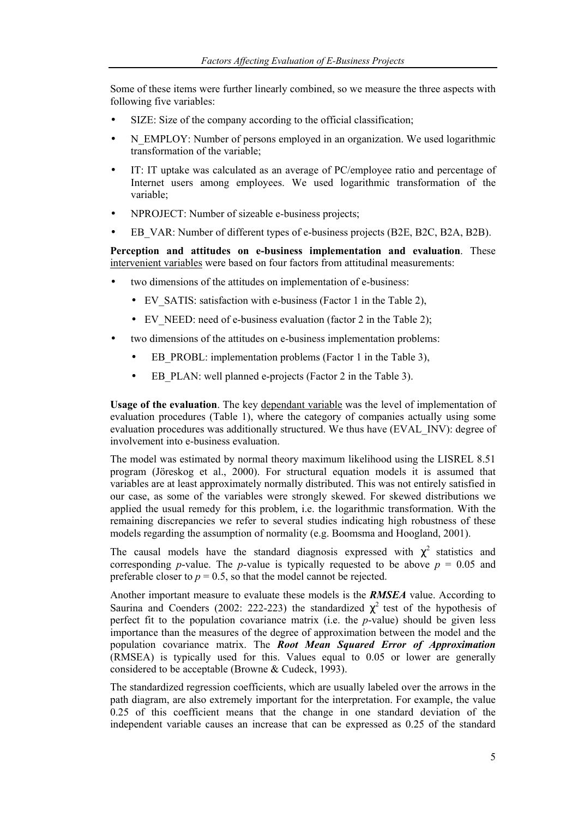Some of these items were further linearly combined, so we measure the three aspects with following five variables:

- SIZE: Size of the company according to the official classification;
- N\_EMPLOY: Number of persons employed in an organization. We used logarithmic transformation of the variable;
- IT: IT uptake was calculated as an average of PC/employee ratio and percentage of Internet users among employees. We used logarithmic transformation of the variable;
- NPROJECT: Number of sizeable e-business projects;
- EB\_VAR: Number of different types of e-business projects (B2E, B2C, B2A, B2B).

**Perception and attitudes on e-business implementation and evaluation**. These intervenient variables were based on four factors from attitudinal measurements:

- two dimensions of the attitudes on implementation of e-business:
	- EV SATIS: satisfaction with e-business (Factor 1 in the Table 2),
	- EV NEED: need of e-business evaluation (factor 2 in the Table 2);
- two dimensions of the attitudes on e-business implementation problems:
	- EB\_PROBL: implementation problems (Factor 1 in the Table 3).
	- EB\_PLAN: well planned e-projects (Factor 2 in the Table 3).

**Usage of the evaluation**. The key dependant variable was the level of implementation of evaluation procedures (Table 1), where the category of companies actually using some evaluation procedures was additionally structured. We thus have (EVAL\_INV): degree of involvement into e-business evaluation.

The model was estimated by normal theory maximum likelihood using the LISREL 8.51 program (Jöreskog et al., 2000). For structural equation models it is assumed that variables are at least approximately normally distributed. This was not entirely satisfied in our case, as some of the variables were strongly skewed. For skewed distributions we applied the usual remedy for this problem, i.e. the logarithmic transformation. With the remaining discrepancies we refer to several studies indicating high robustness of these models regarding the assumption of normality (e.g. Boomsma and Hoogland, 2001).

The causal models have the standard diagnosis expressed with  $\chi^2$  statistics and corresponding *p*-value. The *p*-value is typically requested to be above  $p = 0.05$  and preferable closer to  $p = 0.5$ , so that the model cannot be rejected.

Another important measure to evaluate these models is the *RMSEA* value. According to Saurina and Coenders (2002: 222-223) the standardized  $\chi^2$  test of the hypothesis of perfect fit to the population covariance matrix (i.e. the *p*-value) should be given less importance than the measures of the degree of approximation between the model and the population covariance matrix. The *Root Mean Squared Error of Approximation* (RMSEA) is typically used for this. Values equal to 0.05 or lower are generally considered to be acceptable (Browne & Cudeck, 1993).

The standardized regression coefficients, which are usually labeled over the arrows in the path diagram, are also extremely important for the interpretation. For example, the value 0.25 of this coefficient means that the change in one standard deviation of the independent variable causes an increase that can be expressed as 0.25 of the standard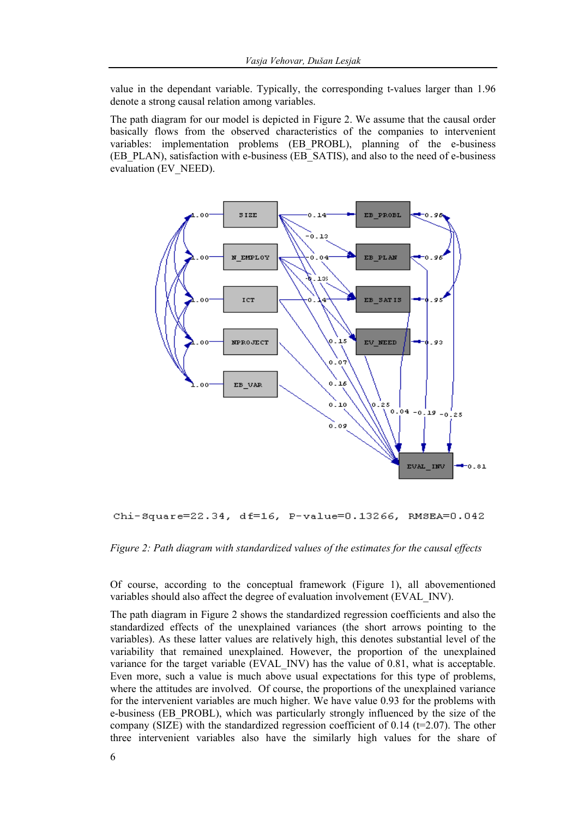value in the dependant variable. Typically, the corresponding t-values larger than 1.96 denote a strong causal relation among variables.

The path diagram for our model is depicted in Figure 2. We assume that the causal order basically flows from the observed characteristics of the companies to intervenient variables: implementation problems (EB\_PROBL), planning of the e-business (EB\_PLAN), satisfaction with e-business (EB\_SATIS), and also to the need of e-business evaluation (EV\_NEED).



Chi-Square=22.34, df=16, P-value=0.13266, RMSEA=0.042

*Figure 2: Path diagram with standardized values of the estimates for the causal effects* 

Of course, according to the conceptual framework (Figure 1), all abovementioned variables should also affect the degree of evaluation involvement (EVAL\_INV).

The path diagram in Figure 2 shows the standardized regression coefficients and also the standardized effects of the unexplained variances (the short arrows pointing to the variables). As these latter values are relatively high, this denotes substantial level of the variability that remained unexplained. However, the proportion of the unexplained variance for the target variable (EVAL\_INV) has the value of 0.81, what is acceptable. Even more, such a value is much above usual expectations for this type of problems, where the attitudes are involved. Of course, the proportions of the unexplained variance for the intervenient variables are much higher. We have value 0.93 for the problems with e-business (EB\_PROBL), which was particularly strongly influenced by the size of the company (SIZE) with the standardized regression coefficient of  $0.14$  ( $t=2.07$ ). The other three intervenient variables also have the similarly high values for the share of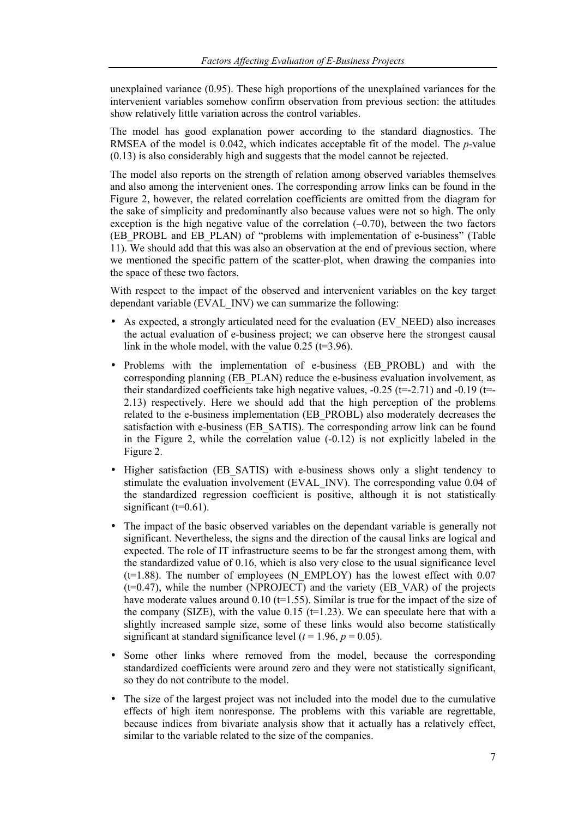unexplained variance (0.95). These high proportions of the unexplained variances for the intervenient variables somehow confirm observation from previous section: the attitudes show relatively little variation across the control variables.

The model has good explanation power according to the standard diagnostics. The RMSEA of the model is 0.042, which indicates acceptable fit of the model. The *p*-value (0.13) is also considerably high and suggests that the model cannot be rejected.

The model also reports on the strength of relation among observed variables themselves and also among the intervenient ones. The corresponding arrow links can be found in the Figure 2, however, the related correlation coefficients are omitted from the diagram for the sake of simplicity and predominantly also because values were not so high. The only exception is the high negative value of the correlation  $(-0.70)$ , between the two factors (EB\_PROBL and EB\_PLAN) of "problems with implementation of e-business" (Table 11). We should add that this was also an observation at the end of previous section, where we mentioned the specific pattern of the scatter-plot, when drawing the companies into the space of these two factors.

With respect to the impact of the observed and intervenient variables on the key target dependant variable (EVAL\_INV) we can summarize the following:

- As expected, a strongly articulated need for the evaluation (EV\_NEED) also increases the actual evaluation of e-business project; we can observe here the strongest causal link in the whole model, with the value  $0.25$  (t=3.96).
- Problems with the implementation of e-business (EB\_PROBL) and with the corresponding planning (EB\_PLAN) reduce the e-business evaluation involvement, as their standardized coefficients take high negative values,  $-0.25$  (t=-2.71) and  $-0.19$  (t=-2.13) respectively. Here we should add that the high perception of the problems related to the e-business implementation (EB\_PROBL) also moderately decreases the satisfaction with e-business (EB\_SATIS). The corresponding arrow link can be found in the Figure 2, while the correlation value  $(-0.12)$  is not explicitly labeled in the Figure 2.
- Higher satisfaction (EB\_SATIS) with e-business shows only a slight tendency to stimulate the evaluation involvement (EVAL\_INV). The corresponding value 0.04 of the standardized regression coefficient is positive, although it is not statistically significant  $(t=0.61)$ .
- The impact of the basic observed variables on the dependant variable is generally not significant. Nevertheless, the signs and the direction of the causal links are logical and expected. The role of IT infrastructure seems to be far the strongest among them, with the standardized value of 0.16, which is also very close to the usual significance level  $(t=1.88)$ . The number of employees (N\_EMPLOY) has the lowest effect with 0.07 (t=0.47), while the number (NPROJECT) and the variety (EB\_VAR) of the projects have moderate values around  $0.10$  (t=1.55). Similar is true for the impact of the size of the company (SIZE), with the value 0.15 ( $t=1.23$ ). We can speculate here that with a slightly increased sample size, some of these links would also become statistically significant at standard significance level ( $t = 1.96$ ,  $p = 0.05$ ).
- Some other links where removed from the model, because the corresponding standardized coefficients were around zero and they were not statistically significant, so they do not contribute to the model.
- The size of the largest project was not included into the model due to the cumulative effects of high item nonresponse. The problems with this variable are regrettable, because indices from bivariate analysis show that it actually has a relatively effect, similar to the variable related to the size of the companies.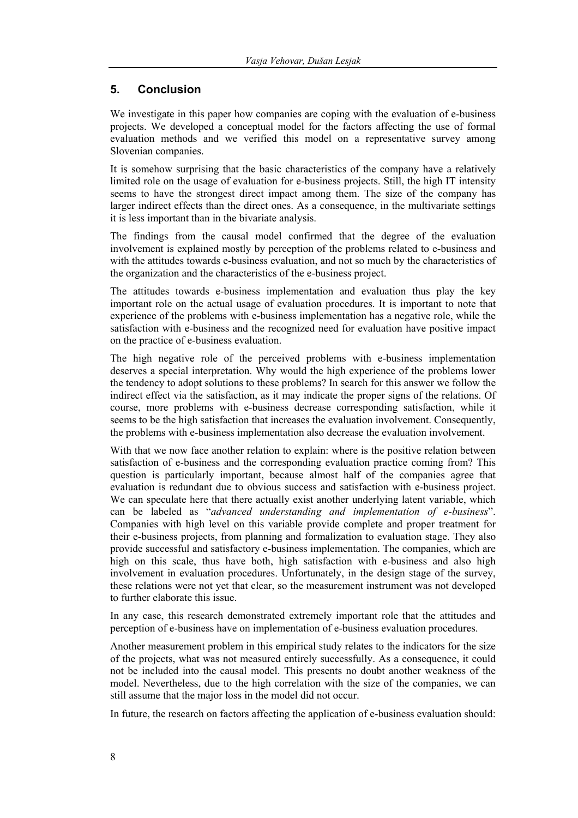#### **5. Conclusion**

We investigate in this paper how companies are coping with the evaluation of e-business projects. We developed a conceptual model for the factors affecting the use of formal evaluation methods and we verified this model on a representative survey among Slovenian companies.

It is somehow surprising that the basic characteristics of the company have a relatively limited role on the usage of evaluation for e-business projects. Still, the high IT intensity seems to have the strongest direct impact among them. The size of the company has larger indirect effects than the direct ones. As a consequence, in the multivariate settings it is less important than in the bivariate analysis.

The findings from the causal model confirmed that the degree of the evaluation involvement is explained mostly by perception of the problems related to e-business and with the attitudes towards e-business evaluation, and not so much by the characteristics of the organization and the characteristics of the e-business project.

The attitudes towards e-business implementation and evaluation thus play the key important role on the actual usage of evaluation procedures. It is important to note that experience of the problems with e-business implementation has a negative role, while the satisfaction with e-business and the recognized need for evaluation have positive impact on the practice of e-business evaluation.

The high negative role of the perceived problems with e-business implementation deserves a special interpretation. Why would the high experience of the problems lower the tendency to adopt solutions to these problems? In search for this answer we follow the indirect effect via the satisfaction, as it may indicate the proper signs of the relations. Of course, more problems with e-business decrease corresponding satisfaction, while it seems to be the high satisfaction that increases the evaluation involvement. Consequently, the problems with e-business implementation also decrease the evaluation involvement.

With that we now face another relation to explain: where is the positive relation between satisfaction of e-business and the corresponding evaluation practice coming from? This question is particularly important, because almost half of the companies agree that evaluation is redundant due to obvious success and satisfaction with e-business project. We can speculate here that there actually exist another underlying latent variable, which can be labeled as "*advanced understanding and implementation of e-business*". Companies with high level on this variable provide complete and proper treatment for their e-business projects, from planning and formalization to evaluation stage. They also provide successful and satisfactory e-business implementation. The companies, which are high on this scale, thus have both, high satisfaction with e-business and also high involvement in evaluation procedures. Unfortunately, in the design stage of the survey, these relations were not yet that clear, so the measurement instrument was not developed to further elaborate this issue.

In any case, this research demonstrated extremely important role that the attitudes and perception of e-business have on implementation of e-business evaluation procedures.

Another measurement problem in this empirical study relates to the indicators for the size of the projects, what was not measured entirely successfully. As a consequence, it could not be included into the causal model. This presents no doubt another weakness of the model. Nevertheless, due to the high correlation with the size of the companies, we can still assume that the major loss in the model did not occur.

In future, the research on factors affecting the application of e-business evaluation should: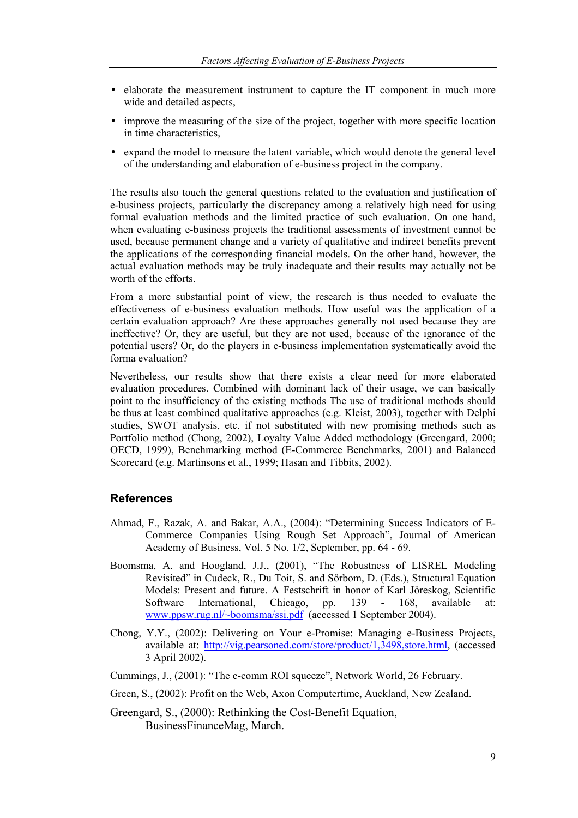- elaborate the measurement instrument to capture the IT component in much more wide and detailed aspects,
- improve the measuring of the size of the project, together with more specific location in time characteristics,
- expand the model to measure the latent variable, which would denote the general level of the understanding and elaboration of e-business project in the company.

The results also touch the general questions related to the evaluation and justification of e-business projects, particularly the discrepancy among a relatively high need for using formal evaluation methods and the limited practice of such evaluation. On one hand, when evaluating e-business projects the traditional assessments of investment cannot be used, because permanent change and a variety of qualitative and indirect benefits prevent the applications of the corresponding financial models. On the other hand, however, the actual evaluation methods may be truly inadequate and their results may actually not be worth of the efforts.

From a more substantial point of view, the research is thus needed to evaluate the effectiveness of e-business evaluation methods. How useful was the application of a certain evaluation approach? Are these approaches generally not used because they are ineffective? Or, they are useful, but they are not used, because of the ignorance of the potential users? Or, do the players in e-business implementation systematically avoid the forma evaluation?

Nevertheless, our results show that there exists a clear need for more elaborated evaluation procedures. Combined with dominant lack of their usage, we can basically point to the insufficiency of the existing methods The use of traditional methods should be thus at least combined qualitative approaches (e.g. Kleist, 2003), together with Delphi studies, SWOT analysis, etc. if not substituted with new promising methods such as Portfolio method (Chong, 2002), Loyalty Value Added methodology (Greengard, 2000; OECD, 1999), Benchmarking method (E-Commerce Benchmarks, 2001) and Balanced Scorecard (e.g. Martinsons et al., 1999; Hasan and Tibbits, 2002).

#### **References**

- Ahmad, F., Razak, A. and Bakar, A.A., (2004): "Determining Success Indicators of E-Commerce Companies Using Rough Set Approach", Journal of American Academy of Business, Vol. 5 No. 1/2, September, pp. 64 - 69.
- Boomsma, A. and Hoogland, J.J., (2001), "The Robustness of LISREL Modeling Revisited" in Cudeck, R., Du Toit, S. and Sörbom, D. (Eds.), Structural Equation Models: Present and future. A Festschrift in honor of Karl Jöreskog, Scientific Software International, Chicago, pp. 139 - 168, available at: www.ppsw.rug.nl/~boomsma/ssi.pdf (accessed 1 September 2004).
- Chong, Y.Y., (2002): Delivering on Your e-Promise: Managing e-Business Projects, available at: http://vig.pearsoned.com/store/product/1,3498,store.html, (accessed 3 April 2002).
- Cummings, J., (2001): "The e-comm ROI squeeze", Network World, 26 February.
- Green, S., (2002): Profit on the Web, Axon Computertime, Auckland, New Zealand.
- Greengard, S., (2000): Rethinking the Cost-Benefit Equation, BusinessFinanceMag, March.